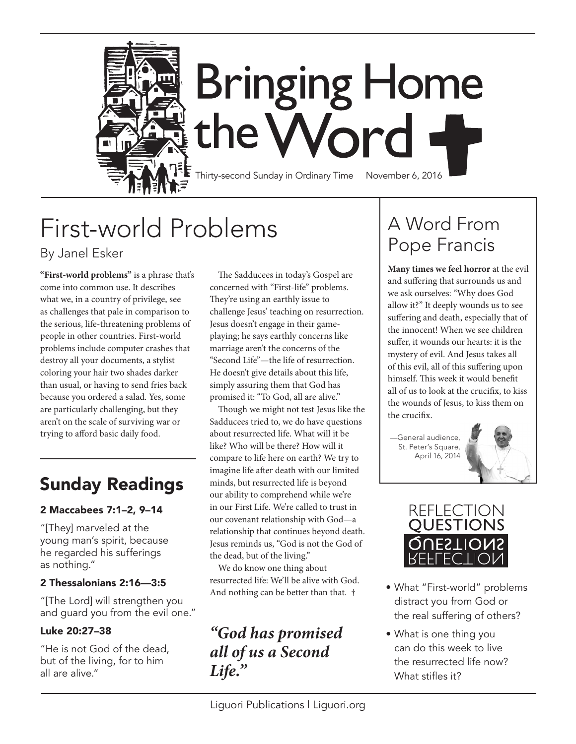

# First-world Problems

By Janel Esker

**"First-world problems"** is a phrase that's come into common use. It describes what we, in a country of privilege, see as challenges that pale in comparison to the serious, life-threatening problems of people in other countries. First-world problems include computer crashes that destroy all your documents, a stylist coloring your hair two shades darker than usual, or having to send fries back because you ordered a salad. Yes, some are particularly challenging, but they aren't on the scale of surviving war or trying to afford basic daily food.

## Sunday Readings

#### 2 Maccabees 7:1–2, 9–14

"[They] marveled at the young man's spirit, because he regarded his sufferings as nothing."

#### 2 Thessalonians 2:16—3:5

"[The Lord] will strengthen you and guard you from the evil one."

#### Luke 20:27–38

"He is not God of the dead, but of the living, for to him all are alive."

The Sadducees in today's Gospel are concerned with "First-life" problems. They're using an earthly issue to challenge Jesus' teaching on resurrection. Jesus doesn't engage in their gameplaying; he says earthly concerns like marriage aren't the concerns of the "Second Life"—the life of resurrection. He doesn't give details about this life, simply assuring them that God has promised it: "To God, all are alive."

Though we might not test Jesus like the Sadducees tried to, we do have questions about resurrected life. What will it be like? Who will be there? How will it compare to life here on earth? We try to imagine life after death with our limited minds, but resurrected life is beyond our ability to comprehend while we're in our First Life. We're called to trust in our covenant relationship with God—a relationship that continues beyond death. Jesus reminds us, "God is not the God of the dead, but of the living."

We do know one thing about resurrected life: We'll be alive with God. And nothing can be better than that. †

### *"God has promised all of us a Second Life."*

## A Word From Pope Francis

**Many times we feel horror** at the evil and suffering that surrounds us and we ask ourselves: "Why does God allow it?" It deeply wounds us to see suffering and death, especially that of the innocent! When we see children suffer, it wounds our hearts: it is the mystery of evil. And Jesus takes all of this evil, all of this suffering upon himself. This week it would benefit all of us to look at the crucifix, to kiss the wounds of Jesus, to kiss them on the crucifix.

*—*General audience, St. Peter's Square, April 16, 2014





- What "First-world" problems distract you from God or the real suffering of others?
- What is one thing you can do this week to live the resurrected life now? What stifles it?